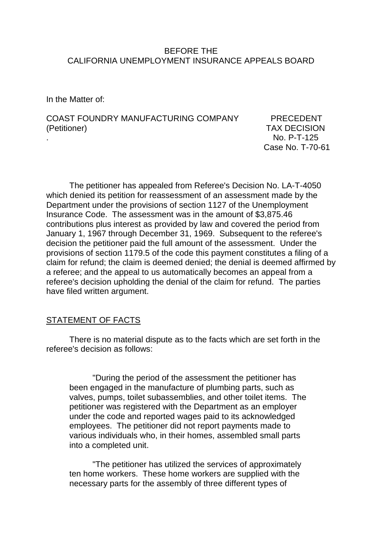#### BEFORE THE CALIFORNIA UNEMPLOYMENT INSURANCE APPEALS BOARD

In the Matter of:

### COAST FOUNDRY MANUFACTURING COMPANY PRECEDENT (Petitioner) TAX DECISION

. No. P-T-125 Case No. T-70-61

The petitioner has appealed from Referee's Decision No. LA-T-4050 which denied its petition for reassessment of an assessment made by the Department under the provisions of section 1127 of the Unemployment Insurance Code. The assessment was in the amount of \$3,875.46 contributions plus interest as provided by law and covered the period from January 1, 1967 through December 31, 1969. Subsequent to the referee's decision the petitioner paid the full amount of the assessment. Under the provisions of section 1179.5 of the code this payment constitutes a filing of a claim for refund; the claim is deemed denied; the denial is deemed affirmed by a referee; and the appeal to us automatically becomes an appeal from a referee's decision upholding the denial of the claim for refund. The parties have filed written argument.

# STATEMENT OF FACTS

There is no material dispute as to the facts which are set forth in the referee's decision as follows:

"During the period of the assessment the petitioner has been engaged in the manufacture of plumbing parts, such as valves, pumps, toilet subassemblies, and other toilet items. The petitioner was registered with the Department as an employer under the code and reported wages paid to its acknowledged employees. The petitioner did not report payments made to various individuals who, in their homes, assembled small parts into a completed unit.

"The petitioner has utilized the services of approximately ten home workers. These home workers are supplied with the necessary parts for the assembly of three different types of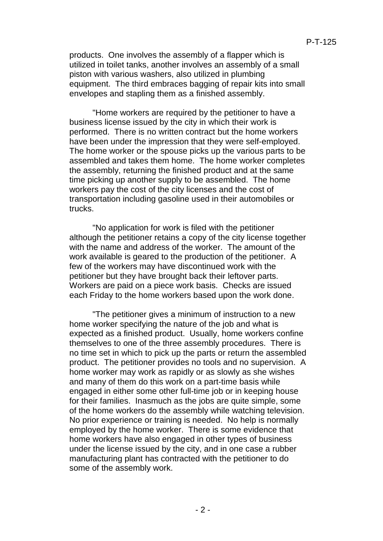products. One involves the assembly of a flapper which is utilized in toilet tanks, another involves an assembly of a small piston with various washers, also utilized in plumbing equipment. The third embraces bagging of repair kits into small envelopes and stapling them as a finished assembly.

"Home workers are required by the petitioner to have a business license issued by the city in which their work is performed. There is no written contract but the home workers have been under the impression that they were self-employed. The home worker or the spouse picks up the various parts to be assembled and takes them home. The home worker completes the assembly, returning the finished product and at the same time picking up another supply to be assembled. The home workers pay the cost of the city licenses and the cost of transportation including gasoline used in their automobiles or trucks.

"No application for work is filed with the petitioner although the petitioner retains a copy of the city license together with the name and address of the worker. The amount of the work available is geared to the production of the petitioner. A few of the workers may have discontinued work with the petitioner but they have brought back their leftover parts. Workers are paid on a piece work basis. Checks are issued each Friday to the home workers based upon the work done.

"The petitioner gives a minimum of instruction to a new home worker specifying the nature of the job and what is expected as a finished product. Usually, home workers confine themselves to one of the three assembly procedures. There is no time set in which to pick up the parts or return the assembled product. The petitioner provides no tools and no supervision. A home worker may work as rapidly or as slowly as she wishes and many of them do this work on a part-time basis while engaged in either some other full-time job or in keeping house for their families. Inasmuch as the jobs are quite simple, some of the home workers do the assembly while watching television. No prior experience or training is needed. No help is normally employed by the home worker. There is some evidence that home workers have also engaged in other types of business under the license issued by the city, and in one case a rubber manufacturing plant has contracted with the petitioner to do some of the assembly work.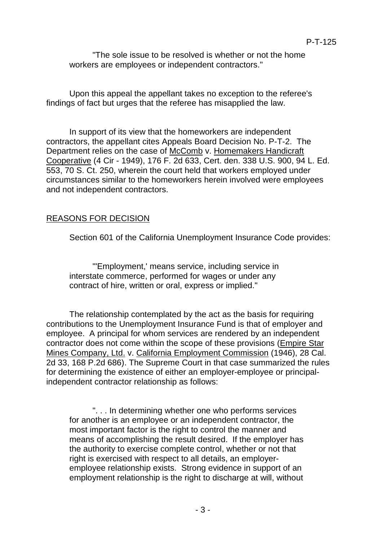"The sole issue to be resolved is whether or not the home workers are employees or independent contractors."

Upon this appeal the appellant takes no exception to the referee's findings of fact but urges that the referee has misapplied the law.

In support of its view that the homeworkers are independent contractors, the appellant cites Appeals Board Decision No. P-T-2. The Department relies on the case of McComb v. Homemakers Handicraft Cooperative (4 Cir - 1949), 176 F. 2d 633, Cert. den. 338 U.S. 900, 94 L. Ed. 553, 70 S. Ct. 250, wherein the court held that workers employed under circumstances similar to the homeworkers herein involved were employees and not independent contractors.

# REASONS FOR DECISION

Section 601 of the California Unemployment Insurance Code provides:

"'Employment,' means service, including service in interstate commerce, performed for wages or under any contract of hire, written or oral, express or implied."

The relationship contemplated by the act as the basis for requiring contributions to the Unemployment Insurance Fund is that of employer and employee. A principal for whom services are rendered by an independent contractor does not come within the scope of these provisions (Empire Star Mines Company, Ltd. v. California Employment Commission (1946), 28 Cal. 2d 33, 168 P.2d 686). The Supreme Court in that case summarized the rules for determining the existence of either an employer-employee or principalindependent contractor relationship as follows:

". . . In determining whether one who performs services for another is an employee or an independent contractor, the most important factor is the right to control the manner and means of accomplishing the result desired. If the employer has the authority to exercise complete control, whether or not that right is exercised with respect to all details, an employeremployee relationship exists. Strong evidence in support of an employment relationship is the right to discharge at will, without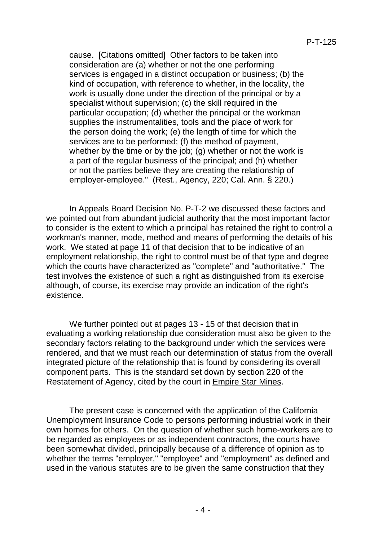cause. [Citations omitted] Other factors to be taken into consideration are (a) whether or not the one performing services is engaged in a distinct occupation or business; (b) the kind of occupation, with reference to whether, in the locality, the work is usually done under the direction of the principal or by a specialist without supervision; (c) the skill required in the particular occupation; (d) whether the principal or the workman supplies the instrumentalities, tools and the place of work for the person doing the work; (e) the length of time for which the services are to be performed; (f) the method of payment, whether by the time or by the job; (g) whether or not the work is a part of the regular business of the principal; and (h) whether or not the parties believe they are creating the relationship of employer-employee." (Rest., Agency, 220; Cal. Ann. § 220.)

In Appeals Board Decision No. P-T-2 we discussed these factors and we pointed out from abundant judicial authority that the most important factor to consider is the extent to which a principal has retained the right to control a workman's manner, mode, method and means of performing the details of his work. We stated at page 11 of that decision that to be indicative of an employment relationship, the right to control must be of that type and degree which the courts have characterized as "complete" and "authoritative." The test involves the existence of such a right as distinguished from its exercise although, of course, its exercise may provide an indication of the right's existence.

We further pointed out at pages 13 - 15 of that decision that in evaluating a working relationship due consideration must also be given to the secondary factors relating to the background under which the services were rendered, and that we must reach our determination of status from the overall integrated picture of the relationship that is found by considering its overall component parts. This is the standard set down by section 220 of the Restatement of Agency, cited by the court in Empire Star Mines.

The present case is concerned with the application of the California Unemployment Insurance Code to persons performing industrial work in their own homes for others. On the question of whether such home-workers are to be regarded as employees or as independent contractors, the courts have been somewhat divided, principally because of a difference of opinion as to whether the terms "employer," "employee" and "employment" as defined and used in the various statutes are to be given the same construction that they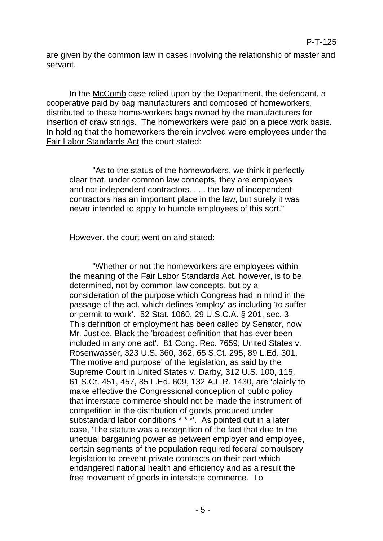are given by the common law in cases involving the relationship of master and servant.

In the McComb case relied upon by the Department, the defendant, a cooperative paid by bag manufacturers and composed of homeworkers, distributed to these home-workers bags owned by the manufacturers for insertion of draw strings. The homeworkers were paid on a piece work basis. In holding that the homeworkers therein involved were employees under the Fair Labor Standards Act the court stated:

"As to the status of the homeworkers, we think it perfectly clear that, under common law concepts, they are employees and not independent contractors. . . . the law of independent contractors has an important place in the law, but surely it was never intended to apply to humble employees of this sort."

However, the court went on and stated:

"Whether or not the homeworkers are employees within the meaning of the Fair Labor Standards Act, however, is to be determined, not by common law concepts, but by a consideration of the purpose which Congress had in mind in the passage of the act, which defines 'employ' as including 'to suffer or permit to work'. 52 Stat. 1060, 29 U.S.C.A. § 201, sec. 3. This definition of employment has been called by Senator, now Mr. Justice, Black the 'broadest definition that has ever been included in any one act'. 81 Cong. Rec. 7659; United States v. Rosenwasser, 323 U.S. 360, 362, 65 S.Ct. 295, 89 L.Ed. 301. 'The motive and purpose' of the legislation, as said by the Supreme Court in United States v. Darby, 312 U.S. 100, 115, 61 S.Ct. 451, 457, 85 L.Ed. 609, 132 A.L.R. 1430, are 'plainly to make effective the Congressional conception of public policy that interstate commerce should not be made the instrument of competition in the distribution of goods produced under substandard labor conditions \* \* \*'. As pointed out in a later case, 'The statute was a recognition of the fact that due to the unequal bargaining power as between employer and employee, certain segments of the population required federal compulsory legislation to prevent private contracts on their part which endangered national health and efficiency and as a result the free movement of goods in interstate commerce. To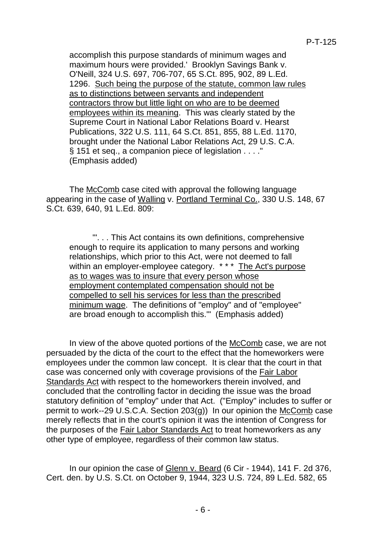accomplish this purpose standards of minimum wages and maximum hours were provided.' Brooklyn Savings Bank v. O'Neill, 324 U.S. 697, 706-707, 65 S.Ct. 895, 902, 89 L.Ed. 1296. Such being the purpose of the statute, common law rules as to distinctions between servants and independent contractors throw but little light on who are to be deemed employees within its meaning. This was clearly stated by the Supreme Court in National Labor Relations Board v. Hearst Publications, 322 U.S. 111, 64 S.Ct. 851, 855, 88 L.Ed. 1170, brought under the National Labor Relations Act, 29 U.S. C.A. § 151 et seq., a companion piece of legislation . . . . " (Emphasis added)

The McComb case cited with approval the following language appearing in the case of Walling v. Portland Terminal Co., 330 U.S. 148, 67 S.Ct. 639, 640, 91 L.Ed. 809:

"'. . . This Act contains its own definitions, comprehensive enough to require its application to many persons and working relationships, which prior to this Act, were not deemed to fall within an employer-employee category. \* \* \* The Act's purpose as to wages was to insure that every person whose employment contemplated compensation should not be compelled to sell his services for less than the prescribed minimum wage. The definitions of "employ" and of "employee" are broad enough to accomplish this.'" (Emphasis added)

In view of the above quoted portions of the McComb case, we are not persuaded by the dicta of the court to the effect that the homeworkers were employees under the common law concept. It is clear that the court in that case was concerned only with coverage provisions of the Fair Labor Standards Act with respect to the homeworkers therein involved, and concluded that the controlling factor in deciding the issue was the broad statutory definition of "employ" under that Act. ("Employ" includes to suffer or permit to work--29 U.S.C.A. Section 203(g)) In our opinion the McComb case merely reflects that in the court's opinion it was the intention of Congress for the purposes of the Fair Labor Standards Act to treat homeworkers as any other type of employee, regardless of their common law status.

In our opinion the case of Glenn v. Beard (6 Cir - 1944), 141 F. 2d 376, Cert. den. by U.S. S.Ct. on October 9, 1944, 323 U.S. 724, 89 L.Ed. 582, 65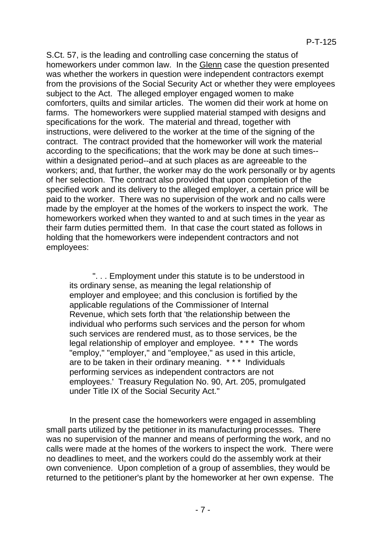S.Ct. 57, is the leading and controlling case concerning the status of homeworkers under common law. In the Glenn case the question presented was whether the workers in question were independent contractors exempt from the provisions of the Social Security Act or whether they were employees subject to the Act. The alleged employer engaged women to make comforters, quilts and similar articles. The women did their work at home on farms. The homeworkers were supplied material stamped with designs and specifications for the work. The material and thread, together with instructions, were delivered to the worker at the time of the signing of the contract. The contract provided that the homeworker will work the material according to the specifications; that the work may be done at such times- within a designated period--and at such places as are agreeable to the workers; and, that further, the worker may do the work personally or by agents of her selection. The contract also provided that upon completion of the specified work and its delivery to the alleged employer, a certain price will be paid to the worker. There was no supervision of the work and no calls were made by the employer at the homes of the workers to inspect the work. The homeworkers worked when they wanted to and at such times in the year as their farm duties permitted them. In that case the court stated as follows in holding that the homeworkers were independent contractors and not employees:

". . . Employment under this statute is to be understood in its ordinary sense, as meaning the legal relationship of employer and employee; and this conclusion is fortified by the applicable regulations of the Commissioner of Internal Revenue, which sets forth that 'the relationship between the individual who performs such services and the person for whom such services are rendered must, as to those services, be the legal relationship of employer and employee. \* \* \* The words "employ," "employer," and "employee," as used in this article, are to be taken in their ordinary meaning. \* \* \* Individuals performing services as independent contractors are not employees.' Treasury Regulation No. 90, Art. 205, promulgated under Title IX of the Social Security Act."

In the present case the homeworkers were engaged in assembling small parts utilized by the petitioner in its manufacturing processes. There was no supervision of the manner and means of performing the work, and no calls were made at the homes of the workers to inspect the work. There were no deadlines to meet, and the workers could do the assembly work at their own convenience. Upon completion of a group of assemblies, they would be returned to the petitioner's plant by the homeworker at her own expense. The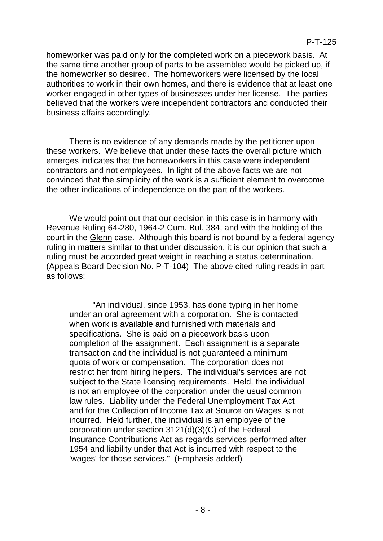homeworker was paid only for the completed work on a piecework basis. At the same time another group of parts to be assembled would be picked up, if the homeworker so desired. The homeworkers were licensed by the local authorities to work in their own homes, and there is evidence that at least one worker engaged in other types of businesses under her license. The parties believed that the workers were independent contractors and conducted their business affairs accordingly.

There is no evidence of any demands made by the petitioner upon these workers. We believe that under these facts the overall picture which emerges indicates that the homeworkers in this case were independent contractors and not employees. In light of the above facts we are not convinced that the simplicity of the work is a sufficient element to overcome the other indications of independence on the part of the workers.

We would point out that our decision in this case is in harmony with Revenue Ruling 64-280, 1964-2 Cum. Bul. 384, and with the holding of the court in the Glenn case. Although this board is not bound by a federal agency ruling in matters similar to that under discussion, it is our opinion that such a ruling must be accorded great weight in reaching a status determination. (Appeals Board Decision No. P-T-104) The above cited ruling reads in part as follows:

"An individual, since 1953, has done typing in her home under an oral agreement with a corporation. She is contacted when work is available and furnished with materials and specifications. She is paid on a piecework basis upon completion of the assignment. Each assignment is a separate transaction and the individual is not guaranteed a minimum quota of work or compensation. The corporation does not restrict her from hiring helpers. The individual's services are not subject to the State licensing requirements. Held, the individual is not an employee of the corporation under the usual common law rules. Liability under the Federal Unemployment Tax Act and for the Collection of Income Tax at Source on Wages is not incurred. Held further, the individual is an employee of the corporation under section 3121(d)(3)(C) of the Federal Insurance Contributions Act as regards services performed after 1954 and liability under that Act is incurred with respect to the 'wages' for those services." (Emphasis added)